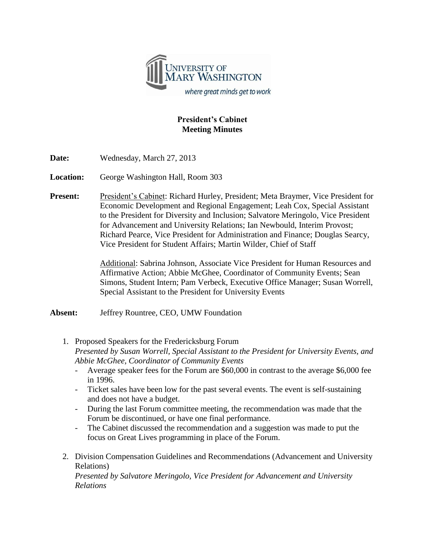

## **President's Cabinet Meeting Minutes**

**Date:** Wednesday, March 27, 2013

**Location:** George Washington Hall, Room 303

**Present:** President's Cabinet: Richard Hurley, President; Meta Braymer, Vice President for Economic Development and Regional Engagement; Leah Cox, Special Assistant to the President for Diversity and Inclusion; Salvatore Meringolo, Vice President for Advancement and University Relations; Ian Newbould, Interim Provost; Richard Pearce, Vice President for Administration and Finance; Douglas Searcy, Vice President for Student Affairs; Martin Wilder, Chief of Staff

> Additional: Sabrina Johnson, Associate Vice President for Human Resources and Affirmative Action; Abbie McGhee, Coordinator of Community Events; Sean Simons, Student Intern; Pam Verbeck, Executive Office Manager; Susan Worrell, Special Assistant to the President for University Events

**Absent:** Jeffrey Rountree, CEO, UMW Foundation

- 1. Proposed Speakers for the Fredericksburg Forum *Presented by Susan Worrell, Special Assistant to the President for University Events, and Abbie McGhee, Coordinator of Community Events*
	- Average speaker fees for the Forum are \$60,000 in contrast to the average \$6,000 fee in 1996.
	- Ticket sales have been low for the past several events. The event is self-sustaining and does not have a budget.
	- During the last Forum committee meeting, the recommendation was made that the Forum be discontinued, or have one final performance.
	- The Cabinet discussed the recommendation and a suggestion was made to put the focus on Great Lives programming in place of the Forum.
- 2. Division Compensation Guidelines and Recommendations (Advancement and University Relations) *Presented by Salvatore Meringolo, Vice President for Advancement and University Relations*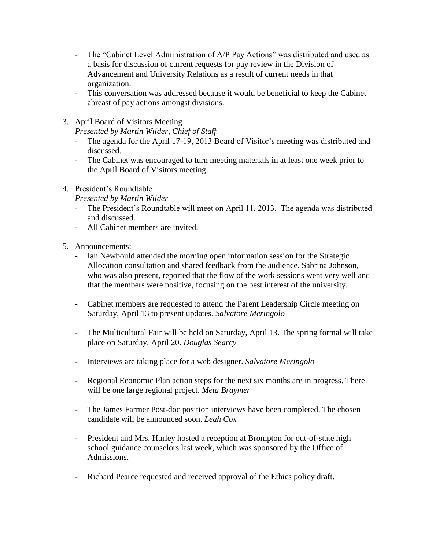- The "Cabinet Level Administration of A/P Pay Actions" was distributed and used as a basis for discussion of current requests for pay review in the Division of Advancement and University Relations as a result of current needs in that organization.
- This conversation was addressed because it would be beneficial to keep the Cabinet abreast of pay actions amongst divisions.
- 3. April Board of Visitors Meeting

*Presented by Martin Wilder, Chief of Staff*

- The agenda for the April 17-19, 2013 Board of Visitor's meeting was distributed and discussed.
- The Cabinet was encouraged to turn meeting materials in at least one week prior to the April Board of Visitors meeting.
- 4. President's Roundtable

*Presented by Martin Wilder*

- The President's Roundtable will meet on April 11, 2013. The agenda was distributed and discussed.
- All Cabinet members are invited.
- 5. Announcements:
	- Ian Newbould attended the morning open information session for the Strategic Allocation consultation and shared feedback from the audience. Sabrina Johnson, who was also present, reported that the flow of the work sessions went very well and that the members were positive, focusing on the best interest of the university.
	- Cabinet members are requested to attend the Parent Leadership Circle meeting on Saturday, April 13 to present updates. *Salvatore Meringolo*
	- The Multicultural Fair will be held on Saturday, April 13. The spring formal will take place on Saturday, April 20. *Douglas Searcy*
	- Interviews are taking place for a web designer. *Salvatore Meringolo*
	- Regional Economic Plan action steps for the next six months are in progress. There will be one large regional project. *Meta Braymer*
	- The James Farmer Post-doc position interviews have been completed. The chosen candidate will be announced soon. *Leah Cox*
	- President and Mrs. Hurley hosted a reception at Brompton for out-of-state high school guidance counselors last week, which was sponsored by the Office of Admissions.
	- Richard Pearce requested and received approval of the Ethics policy draft.